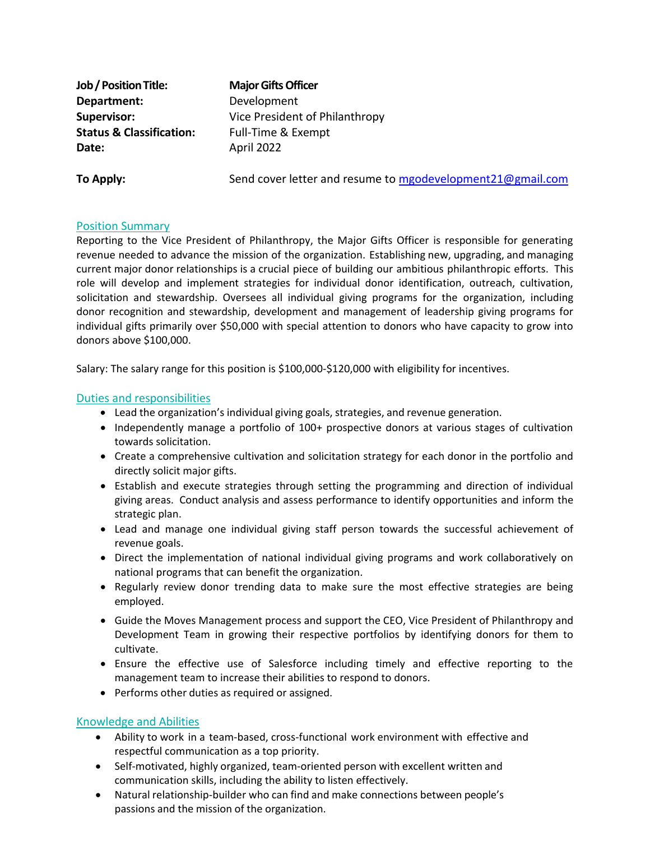**Job/PositionTitle: MajorGifts Officer Department:** Development **Status & Classification:** Full-Time & Exempt **Date:** April 2022

**Supervisor:** Vice President of Philanthropy

**To Apply:** Send cover letter and resume to [mgodevelopment21@gmail.com](mailto:mgodevelopment21@gmail.com)

## Position Summary

Reporting to the Vice President of Philanthropy, the Major Gifts Officer is responsible for generating revenue needed to advance the mission of the organization. Establishing new, upgrading, and managing current major donor relationships is a crucial piece of building our ambitious philanthropic efforts. This role will develop and implement strategies for individual donor identification, outreach, cultivation, solicitation and stewardship. Oversees all individual giving programs for the organization, including donor recognition and stewardship, development and management of leadership giving programs for individual gifts primarily over \$50,000 with special attention to donors who have capacity to grow into donors above \$100,000.

Salary: The salary range for this position is \$100,000-\$120,000 with eligibility for incentives.

# Duties and responsibilities

- Lead the organization's individual giving goals, strategies, and revenue generation.
- Independently manage a portfolio of 100+ prospective donors at various stages of cultivation towards solicitation.
- Create a comprehensive cultivation and solicitation strategy for each donor in the portfolio and directly solicit major gifts.
- Establish and execute strategies through setting the programming and direction of individual giving areas. Conduct analysis and assess performance to identify opportunities and inform the strategic plan.
- Lead and manage one individual giving staff person towards the successful achievement of revenue goals.
- Direct the implementation of national individual giving programs and work collaboratively on national programs that can benefit the organization.
- Regularly review donor trending data to make sure the most effective strategies are being employed.
- Guide the Moves Management process and support the CEO, Vice President of Philanthropy and Development Team in growing their respective portfolios by identifying donors for them to cultivate.
- Ensure the effective use of Salesforce including timely and effective reporting to the management team to increase their abilities to respond to donors.
- Performs other duties as required or assigned.

# Knowledge and Abilities

- Ability to work in a team-based, cross-functional work environment with effective and respectful communication as a top priority.
- Self-motivated, highly organized, team-oriented person with excellent written and communication skills, including the ability to listen effectively.
- Natural relationship-builder who can find and make connections between people's passions and the mission of the organization.